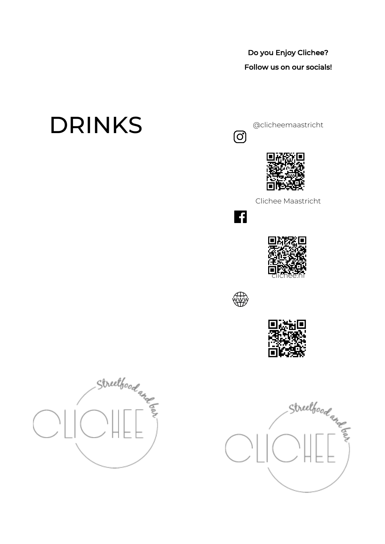# Do you Enjoy Clichee?

## Follow us on our socials!

# DRINKS

@clicheemaastricht

















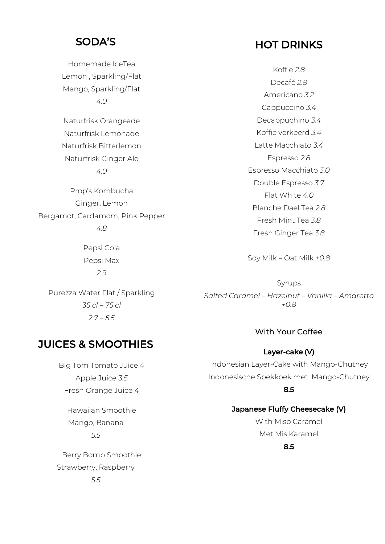## SODA'S

Homemade IceTea Lemon , Sparkling/Flat Mango, Sparkling/Flat *4.0*

Naturfrisk Orangeade Naturfrisk Lemonade Naturfrisk Bitterlemon Naturfrisk Ginger Ale *4.0*

Prop's Kombucha Ginger, Lemon Bergamot, Cardamom, Pink Pepper *4.8*

> Pepsi Cola Pepsi Max *2.9*

Purezza Water Flat / Sparkling *35 cl – 75 cl 2.7 – 5.5*

# HOT DRINKS

Koffie *2.8* Decafé *2.8* Americano *3.2* Cappuccino *3.4* Decappuchino *3.4* Koffie verkeerd *3.4* Latte Macchiato *3.4* Espresso *2.8* Espresso Macchiato *3.0* Double Espresso *3.7* Flat White *4.0* Blanche Dael Tea *2.8* Fresh Mint Tea *3.8* Fresh Ginger Tea *3.8*

Soy Milk – Oat Milk *+0.8*

Syrups *Salted Caramel – Hazelnut – Vanilla – Amaretto +0.8*

### With Your Coffee

#### Layer-cake (V)

Indonesian Layer-Cake with Mango-Chutney Indonesische Spekkoek met Mango-Chutney 8.5

#### Japanese Fluffy Cheesecake (V)

With Miso Caramel Met Mis Karamel

#### 8.5

JUICES & SMOOTHIES

Big Tom Tomato Juice *4* Apple Juice *3.5* Fresh Orange Juice *4*

Hawaiian Smoothie Mango, Banana *5.5*

Berry Bomb Smoothie Strawberry, Raspberry *5.5*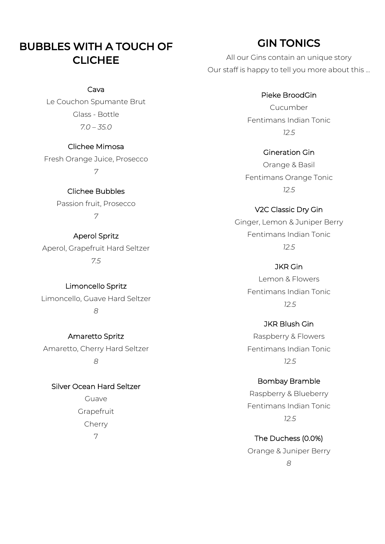# BUBBLES WITH A TOUCH OF **CLICHEE**

#### Cava

Le Couchon Spumante Brut Glass - Bottle *7.0 – 35.0*

#### Clichee Mimosa

Fresh Orange Juice, Prosecco *7*

> Clichee Bubbles Passion fruit, Prosecco *7*

#### Aperol Spritz

Aperol, Grapefruit Hard Seltzer *7.5*

Limoncello Spritz Limoncello, Guave Hard Seltzer *8*

Amaretto Spritz Amaretto, Cherry Hard Seltzer *8*

Silver Ocean Hard Seltzer Guave Grapefruit

Cherry 7

# GIN TONICS

All our Gins contain an unique story Our staff is happy to tell you more about this ...

#### Pieke BroodGin

Cucumber Fentimans Indian Tonic *12.5*

Gineration Gin Orange & Basil Fentimans Orange Tonic *12.5*

V2C Classic Dry Gin Ginger, Lemon & Juniper Berry Fentimans Indian Tonic *12.5*

> JKR Gin Lemon & Flowers Fentimans Indian Tonic *12.5*

> JKR Blush Gin Raspberry & Flowers Fentimans Indian Tonic

> > *12.5*

Bombay Bramble Raspberry & Blueberry Fentimans Indian Tonic *12.5*

The Duchess (0.0%) Orange & Juniper Berry *8*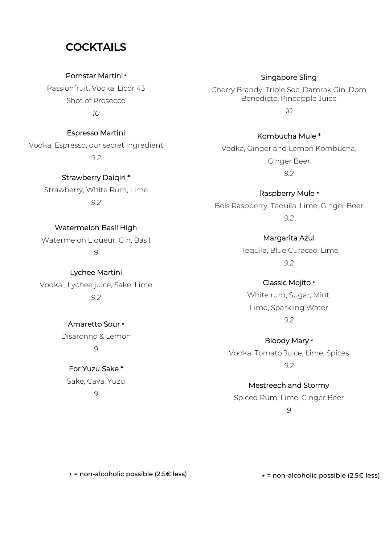## **COCKTAILS**

Pornstar Martini\*

Passionfruit, Vodka, Licor 43 Shot of Prosecco *10*

Espresso Martini Vodka, Espresso, our secret ingredient *9.2*

> Strawberry Daiqiri \* Strawberry, White Rum, Lime *9.2*

Watermelon Basil High Watermelon Liqueur, Gin, Basil

*9* 

Lychee Martini Vodka , Lychee juice, Sake, Lime *9.2*

> Amaretto Sour \* Disaronno & Lemon *9*

For Yuzu Sake \* Sake, Cava, Yuzu *9* 

Singapore Sling Cherry Brandy, Triple Sec, Damrak Gin, Dom Benedicte, Pineapple Juice *10*

Kombucha Mule \* Vodka, Ginger and Lemon Kombucha, Ginger Beer *9.2*

Raspberry Mule \* Bols Raspberry, Tequila, Lime, Ginger Beer *9.2*

> Margarita Azul Tequila, Blue Curacao, Lime *9.2*

Classic Mojito \* White rum, Sugar, Mint, Lime, Sparkling Water *9.2*

Bloody Mary **\*** Vodka, Tomato Juice, Lime, Spices *9.2*

Mestreech and Stormy Spiced Rum, Lime, Ginger Beer *9*

 $\star$  = non-alcoholic possible (2.5 $\in$  less)

⋆ = non-alcoholic possible (2.5€ less)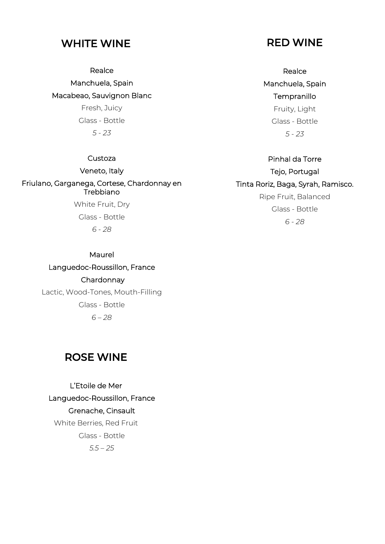## WHITE WINE

**Realce** 

Manchuela, Spain Macabeao, Sauvignon Blanc

> Fresh, Juicy Glass - Bottle *5 - 23*

#### Custoza

Veneto, Italy Friulano, Garganega, Cortese, Chardonnay en Trebbiano

> White Fruit, Dry Glass - Bottle *6 - 28*

#### Maurel

Languedoc-Roussillon, France **Chardonnay** Lactic, Wood-Tones, Mouth-Filling Glass - Bottle *6 – 28*

## ROSE WINE

L'Etoile de Mer Languedoc-Roussillon, France Grenache, Cinsault White Berries, Red Fruit Glass - Bottle *5.5 – 25*

## RED WINE

**Realce** Manchuela, Spain **Tempranillo** Fruity, Light Glass - Bottle *5 - 23*

Pinhal da Torre Tejo, Portugal Tinta Roriz, Baga, Syrah, Ramisco. Ripe Fruit, Balanced Glass - Bottle *6 - 28*